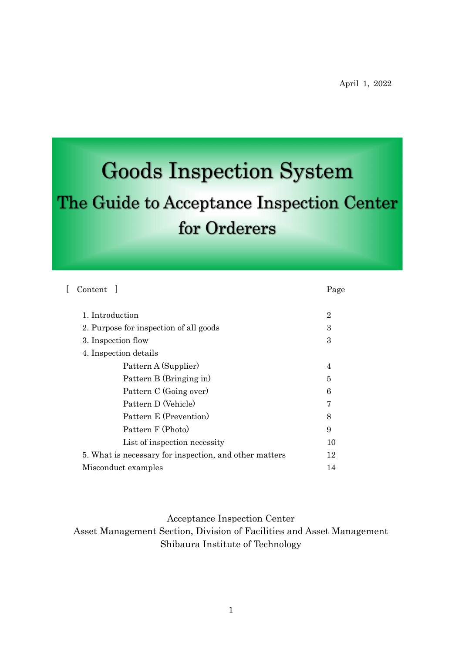# **Goods Inspection System**

# The Guide to Acceptance Inspection Center for Orderers

|                     | Content 1                                                    | Page           |  |  |  |  |
|---------------------|--------------------------------------------------------------|----------------|--|--|--|--|
|                     | 1. Introduction                                              | $\overline{2}$ |  |  |  |  |
|                     | 2. Purpose for inspection of all goods<br>3. Inspection flow |                |  |  |  |  |
|                     |                                                              |                |  |  |  |  |
|                     | 4. Inspection details                                        |                |  |  |  |  |
|                     | Pattern A (Supplier)                                         | 4              |  |  |  |  |
|                     | Pattern B (Bringing in)                                      | 5              |  |  |  |  |
|                     | Pattern C (Going over)                                       | 6              |  |  |  |  |
|                     | Pattern D (Vehicle)                                          | 7              |  |  |  |  |
|                     | Pattern E (Prevention)                                       | 8              |  |  |  |  |
|                     | Pattern F (Photo)                                            | 9              |  |  |  |  |
|                     | List of inspection necessity                                 | 10             |  |  |  |  |
|                     | 5. What is necessary for inspection, and other matters       |                |  |  |  |  |
| Misconduct examples |                                                              |                |  |  |  |  |
|                     |                                                              |                |  |  |  |  |

Acceptance Inspection Center Asset Management Section, Division of Facilities and Asset Management Shibaura Institute of Technology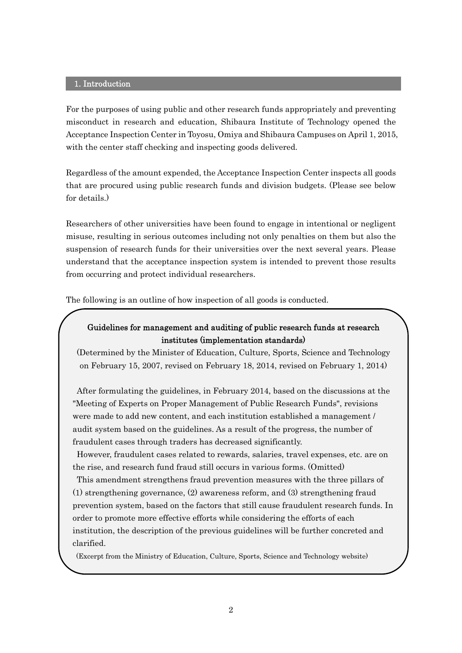#### 1. Introduction

For the purposes of using public and other research funds appropriately and preventing misconduct in research and education, Shibaura Institute of Technology opened the Acceptance Inspection Center in Toyosu, Omiya and Shibaura Campuses on April 1, 2015, with the center staff checking and inspecting goods delivered.

Regardless of the amount expended, the Acceptance Inspection Center inspects all goods that are procured using public research funds and division budgets. (Please see below for details.)

Researchers of other universities have been found to engage in intentional or negligent misuse, resulting in serious outcomes including not only penalties on them but also the suspension of research funds for their universities over the next several years. Please understand that the acceptance inspection system is intended to prevent those results from occurring and protect individual researchers.

The following is an outline of how inspection of all goods is conducted.

## Guidelines for management and auditing of public research funds at research institutes (implementation standards)

(Determined by the Minister of Education, Culture, Sports, Science and Technology on February 15, 2007, revised on February 18, 2014, revised on February 1, 2014)

After formulating the guidelines, in February 2014, based on the discussions at the "Meeting of Experts on Proper Management of Public Research Funds", revisions were made to add new content, and each institution established a management / audit system based on the guidelines. As a result of the progress, the number of fraudulent cases through traders has decreased significantly.

However, fraudulent cases related to rewards, salaries, travel expenses, etc. are on the rise, and research fund fraud still occurs in various forms. (Omitted)

This amendment strengthens fraud prevention measures with the three pillars of (1) strengthening governance, (2) awareness reform, and (3) strengthening fraud prevention system, based on the factors that still cause fraudulent research funds. In order to promote more effective efforts while considering the efforts of each institution, the description of the previous guidelines will be further concreted and clarified.

(Excerpt from the Ministry of Education, Culture, Sports, Science and Technology website)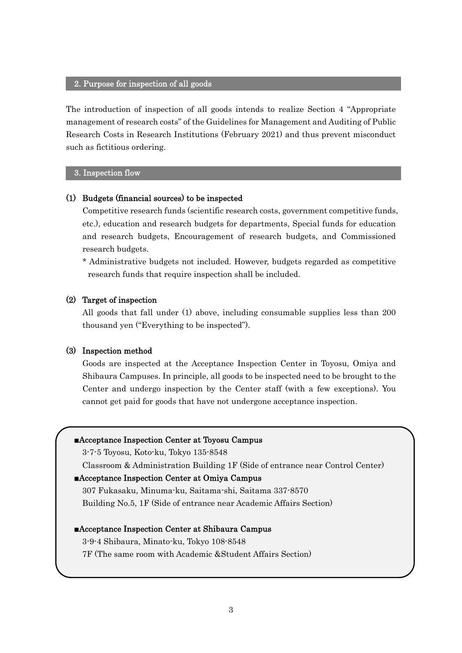#### 2. Purpose for inspection of all goods

The introduction of inspection of all goods intends to realize Section 4 "Appropriate management of research costs" of the Guidelines for Management and Auditing of Public Research Costs in Research Institutions (February 2021) and thus prevent misconduct such as fictitious ordering.

#### 3. Inspection flow

#### (1) Budgets (financial sources) to be inspected

Competitive research funds (scientific research costs, government competitive funds, etc.), education and research budgets for departments, Special funds for education and research budgets, Encouragement of research budgets, and Commissioned research budgets.

\* Administrative budgets not included. However, budgets regarded as competitive research funds that require inspection shall be included.

#### (2) Target of inspection

All goods that fall under (1) above, including consumable supplies less than 200 thousand yen ("Everything to be inspected").

#### (3) Inspection method

Goods are inspected at the Acceptance Inspection Center in Toyosu, Omiya and Shibaura Campuses. In principle, all goods to be inspected need to be brought to the Center and undergo inspection by the Center staff (with a few exceptions). You cannot get paid for goods that have not undergone acceptance inspection.

| Acceptance Inspection Center at Toyosu Campus                                 |  |  |  |  |
|-------------------------------------------------------------------------------|--|--|--|--|
| 3-7-5 Toyosu, Koto-ku, Tokyo 135-8548                                         |  |  |  |  |
| Classroom & Administration Building 1F (Side of entrance near Control Center) |  |  |  |  |
| <b>Acceptance Inspection Center at Omiya Campus</b>                           |  |  |  |  |
| 307 Fukasaku, Minuma-ku, Saitama-shi, Saitama 337-8570                        |  |  |  |  |
| Building No.5, 1F (Side of entrance near Academic Affairs Section)            |  |  |  |  |
| <b>Acceptance Inspection Center at Shibaura Campus</b>                        |  |  |  |  |
| 3-9-4 Shibaura, Minato-ku, Tokyo 108-8548                                     |  |  |  |  |
| 7F (The same room with Academic & Student Affairs Section)                    |  |  |  |  |
|                                                                               |  |  |  |  |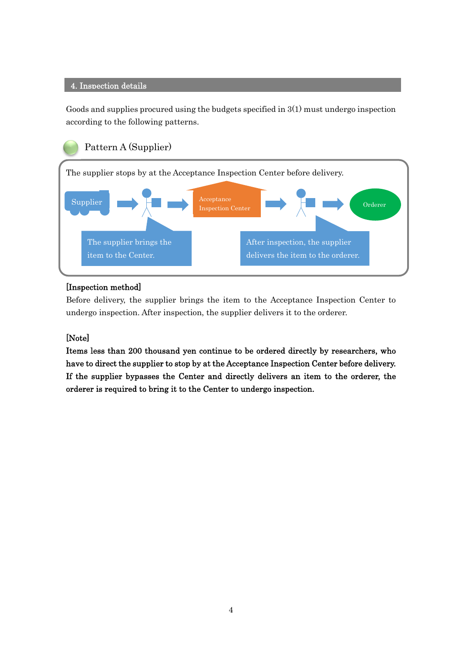#### 4. Inspection details

Goods and supplies procured using the budgets specified in 3(1) must undergo inspection according to the following patterns.



#### [Inspection method]

Before delivery, the supplier brings the item to the Acceptance Inspection Center to undergo inspection. After inspection, the supplier delivers it to the orderer.

## [Note]

Items less than 200 thousand yen continue to be ordered directly by researchers, who have to direct the supplier to stop by at the Acceptance Inspection Center before delivery. If the supplier bypasses the Center and directly delivers an item to the orderer, the orderer is required to bring it to the Center to undergo inspection.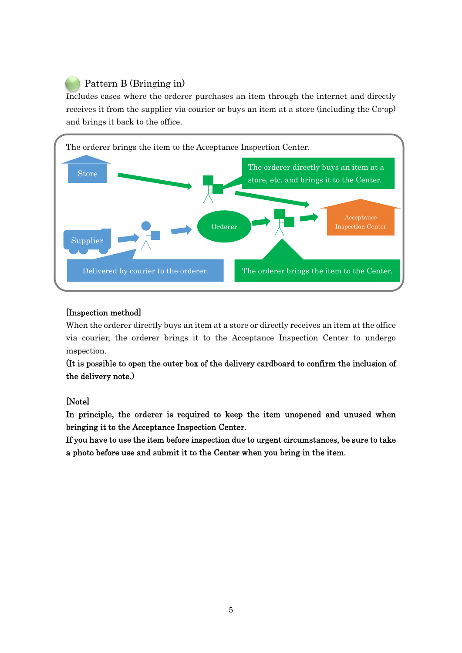# Pattern B (Bringing in)

Includes cases where the orderer purchases an item through the internet and directly receives it from the supplier via courier or buys an item at a store (including the Co-op) and brings it back to the office.



## [Inspection method]

When the orderer directly buys an item at a store or directly receives an item at the office via courier, the orderer brings it to the Acceptance Inspection Center to undergo inspection.

(It is possible to open the outer box of the delivery cardboard to confirm the inclusion of the delivery note.)

## [Note]

In principle, the orderer is required to keep the item unopened and unused when bringing it to the Acceptance Inspection Center.

If you have to use the item before inspection due to urgent circumstances, be sure to take a photo before use and submit it to the Center when you bring in the item.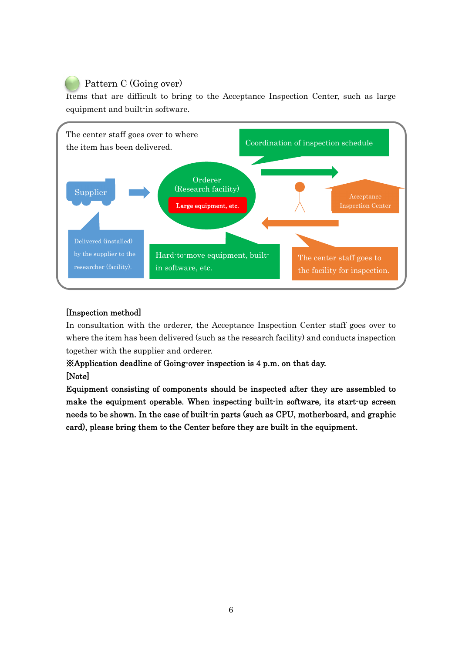# Pattern C (Going over)

Items that are difficult to bring to the Acceptance Inspection Center, such as large equipment and built-in software.



## [Inspection method]

In consultation with the orderer, the Acceptance Inspection Center staff goes over to where the item has been delivered (such as the research facility) and conducts inspection together with the supplier and orderer.

# ※Application deadline of Going-over inspection is 4 p.m. on that day. [Note]

Equipment consisting of components should be inspected after they are assembled to make the equipment operable. When inspecting built-in software, its start-up screen needs to be shown. In the case of built-in parts (such as CPU, motherboard, and graphic card), please bring them to the Center before they are built in the equipment.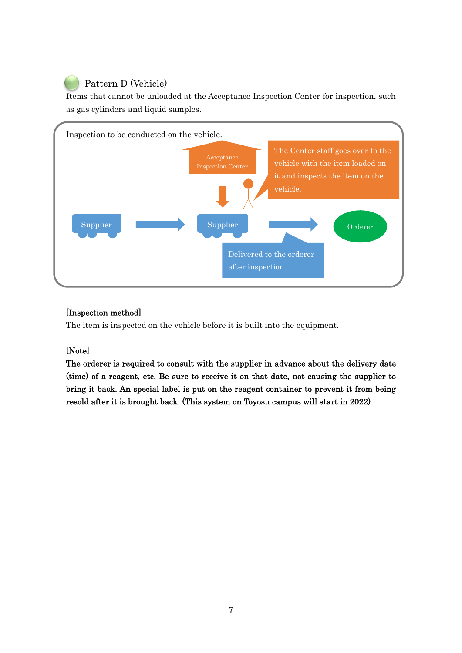# Pattern D (Vehicle)

Items that cannot be unloaded at the Acceptance Inspection Center for inspection, such as gas cylinders and liquid samples.



# [Inspection method]

The item is inspected on the vehicle before it is built into the equipment.

# [Note]

The orderer is required to consult with the supplier in advance about the delivery date (time) of a reagent, etc. Be sure to receive it on that date, not causing the supplier to bring it back. An special label is put on the reagent container to prevent it from being resold after it is brought back. (This system on Toyosu campus will start in 2022)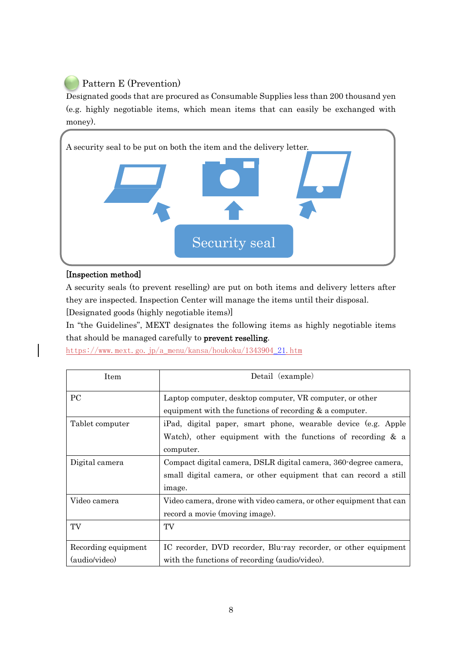

Designated goods that are procured as Consumable Supplies less than 200 thousand yen (e.g. highly negotiable items, which mean items that can easily be exchanged with money).



#### [Inspection method]

A security seals (to prevent reselling) are put on both items and delivery letters after they are inspected. Inspection Center will manage the items until their disposal.

[Designated goods (highly negotiable items)]

In "the Guidelines", MEXT designates the following items as highly negotiable items that should be managed carefully to prevent reselling.

https://www.mext.go.jp/a\_menu/kansa/houkoku/1343904\_21.htm

| <b>Item</b>         | Detail (example)                                                   |
|---------------------|--------------------------------------------------------------------|
| <sub>PC</sub>       | Laptop computer, desktop computer, VR computer, or other           |
|                     | equipment with the functions of recording $\&$ a computer.         |
| Tablet computer     | iPad, digital paper, smart phone, wearable device (e.g. Apple      |
|                     | Watch), other equipment with the functions of recording $\&$ a     |
|                     | computer.                                                          |
| Digital camera      | Compact digital camera, DSLR digital camera, 360-degree camera,    |
|                     | small digital camera, or other equipment that can record a still   |
|                     | image.                                                             |
| Video camera        | Video camera, drone with video camera, or other equipment that can |
|                     | record a movie (moving image).                                     |
| TV                  | TV                                                                 |
|                     |                                                                    |
| Recording equipment | IC recorder, DVD recorder, Blu-ray recorder, or other equipment    |
| (audio/video)       | with the functions of recording (audio/video).                     |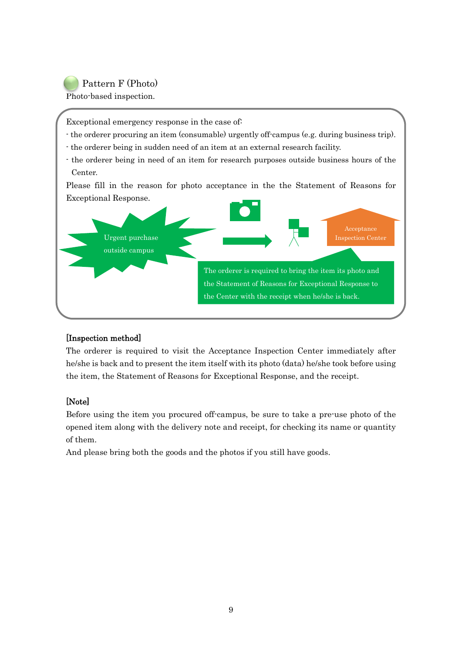# Pattern F (Photo)

Photo-based inspection.

Exceptional emergency response in the case of:

- the orderer procuring an item (consumable) urgently off-campus (e.g. during business trip).
- the orderer being in sudden need of an item at an external research facility.
- the orderer being in need of an item for research purposes outside business hours of the Center.

Please fill in the reason for photo acceptance in the the Statement of Reasons for Exceptional Response.



## [Inspection method]

The orderer is required to visit the Acceptance Inspection Center immediately after he/she is back and to present the item itself with its photo (data) he/she took before using the item, the Statement of Reasons for Exceptional Response, and the receipt.

## [Note]

Before using the item you procured off-campus, be sure to take a pre-use photo of the opened item along with the delivery note and receipt, for checking its name or quantity of them.

And please bring both the goods and the photos if you still have goods.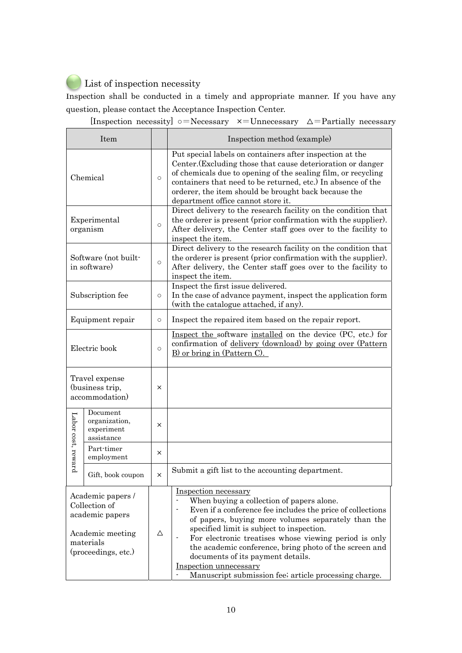# List of inspection necessity

Inspection shall be conducted in a timely and appropriate manner. If you have any question, please contact the Acceptance Inspection Center.

| Item                                                                                                          |                                                       |            | Inspection method (example)                                                                                                                                                                                                                                                                                                                                                                                                                                                   |
|---------------------------------------------------------------------------------------------------------------|-------------------------------------------------------|------------|-------------------------------------------------------------------------------------------------------------------------------------------------------------------------------------------------------------------------------------------------------------------------------------------------------------------------------------------------------------------------------------------------------------------------------------------------------------------------------|
| Chemical                                                                                                      |                                                       | $\circ$    | Put special labels on containers after inspection at the<br>Center. (Excluding those that cause deterioration or danger<br>of chemicals due to opening of the sealing film, or recycling<br>containers that need to be returned, etc.) In absence of the<br>orderer, the item should be brought back because the<br>department office cannot store it.                                                                                                                        |
| Experimental<br>organism                                                                                      |                                                       | $\bigcirc$ | Direct delivery to the research facility on the condition that<br>the orderer is present (prior confirmation with the supplier).<br>After delivery, the Center staff goes over to the facility to<br>inspect the item.                                                                                                                                                                                                                                                        |
| Software (not built-<br>in software)                                                                          |                                                       | $\circ$    | Direct delivery to the research facility on the condition that<br>the orderer is present (prior confirmation with the supplier).<br>After delivery, the Center staff goes over to the facility to<br>inspect the item.                                                                                                                                                                                                                                                        |
| Subscription fee                                                                                              |                                                       | $\circ$    | Inspect the first issue delivered.<br>In the case of advance payment, inspect the application form<br>(with the catalogue attached, if any).                                                                                                                                                                                                                                                                                                                                  |
| Equipment repair                                                                                              |                                                       | $\circ$    | Inspect the repaired item based on the repair report.                                                                                                                                                                                                                                                                                                                                                                                                                         |
| Electric book                                                                                                 |                                                       | $\circ$    | Inspect the software installed on the device (PC, etc.) for<br>confirmation of delivery (download) by going over (Pattern<br>B) or bring in (Pattern C).                                                                                                                                                                                                                                                                                                                      |
| Travel expense<br>(business trip,<br>accommodation)                                                           |                                                       | ×          |                                                                                                                                                                                                                                                                                                                                                                                                                                                                               |
| Labor cost, reward                                                                                            | Document<br>organization,<br>experiment<br>assistance | ×          |                                                                                                                                                                                                                                                                                                                                                                                                                                                                               |
|                                                                                                               | Part-timer<br>employment                              | $\times$   |                                                                                                                                                                                                                                                                                                                                                                                                                                                                               |
|                                                                                                               | Gift, book coupon                                     | $\times$   | Submit a gift list to the accounting department.                                                                                                                                                                                                                                                                                                                                                                                                                              |
| Academic papers /<br>Collection of<br>academic papers<br>Academic meeting<br>materials<br>(proceedings, etc.) |                                                       | Δ          | Inspection necessary<br>When buying a collection of papers alone.<br>Even if a conference fee includes the price of collections<br>of papers, buying more volumes separately than the<br>specified limit is subject to inspection.<br>For electronic treatises whose viewing period is only<br>the academic conference, bring photo of the screen and<br>documents of its payment details.<br>Inspection unnecessary<br>Manuscript submission fee; article processing charge. |

[Inspection necessity]  $\circ$ =Necessary  $\times$ =Unnecessary  $\Delta$ =Partially necessary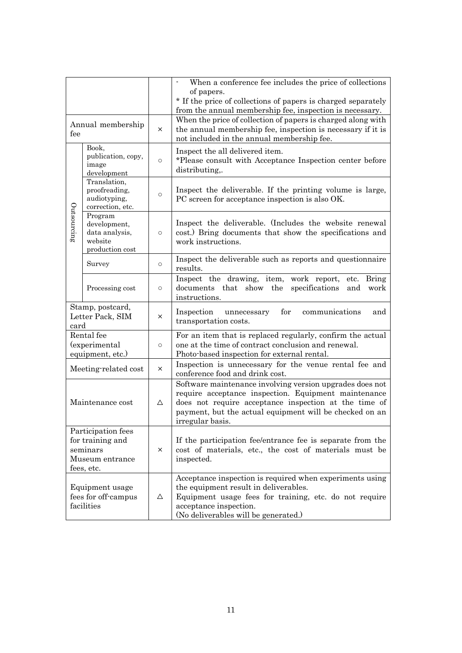|                                                                                     |                                                                         |             | When a conference fee includes the price of collections<br>$\overline{\phantom{a}}$<br>of papers.<br>* If the price of collections of papers is charged separately<br>from the annual membership fee, inspection is necessary.                           |
|-------------------------------------------------------------------------------------|-------------------------------------------------------------------------|-------------|----------------------------------------------------------------------------------------------------------------------------------------------------------------------------------------------------------------------------------------------------------|
| Annual membership<br>fee                                                            |                                                                         | $\times$    | When the price of collection of papers is charged along with<br>the annual membership fee, inspection is necessary if it is<br>not included in the annual membership fee.                                                                                |
|                                                                                     | Book,<br>publication, copy,<br>image<br>development                     | $\circ$     | Inspect the all delivered item.<br>*Please consult with Acceptance Inspection center before<br>distributing,.                                                                                                                                            |
|                                                                                     | Translation,<br>proofreading,<br>audiotyping,<br>correction, etc.       | $\circ$     | Inspect the deliverable. If the printing volume is large,<br>PC screen for acceptance inspection is also OK.                                                                                                                                             |
| Outsourcing                                                                         | Program<br>development,<br>data analysis,<br>website<br>production cost | $\circ$     | Inspect the deliverable. (Includes the website renewal<br>cost.) Bring documents that show the specifications and<br>work instructions.                                                                                                                  |
|                                                                                     | Survey                                                                  | $\circ$     | Inspect the deliverable such as reports and questionnaire<br>results.                                                                                                                                                                                    |
|                                                                                     | Processing cost                                                         | $\circ$     | Inspect the drawing, item,<br>work report,<br><b>Bring</b><br>etc.<br>documents that show the<br>specifications<br>and<br>work<br>instructions.                                                                                                          |
| Stamp, postcard,<br>Letter Pack, SIM<br>card                                        |                                                                         | X           | Inspection<br>for<br>communications<br>unnecessary<br>and<br>transportation costs.                                                                                                                                                                       |
| Rental fee<br>(experimental<br>equipment, etc.)                                     |                                                                         | $\circ$     | For an item that is replaced regularly, confirm the actual<br>one at the time of contract conclusion and renewal.<br>Photo-based inspection for external rental.                                                                                         |
| Meeting-related cost                                                                |                                                                         | X           | Inspection is unnecessary for the venue rental fee and<br>conference food and drink cost.                                                                                                                                                                |
| Maintenance cost                                                                    |                                                                         | Δ           | Software maintenance involving version upgrades does not<br>require acceptance inspection. Equipment maintenance<br>does not require acceptance inspection at the time of<br>payment, but the actual equipment will be checked on an<br>irregular basis. |
| Participation fees<br>for training and<br>seminars<br>Museum entrance<br>fees, etc. |                                                                         | $\times$    | If the participation fee/entrance fee is separate from the<br>cost of materials, etc., the cost of materials must be<br>inspected.                                                                                                                       |
| Equipment usage<br>fees for off-campus<br>facilities                                |                                                                         | $\triangle$ | Acceptance inspection is required when experiments using<br>the equipment result in deliverables.<br>Equipment usage fees for training, etc. do not require<br>acceptance inspection.<br>(No deliverables will be generated.)                            |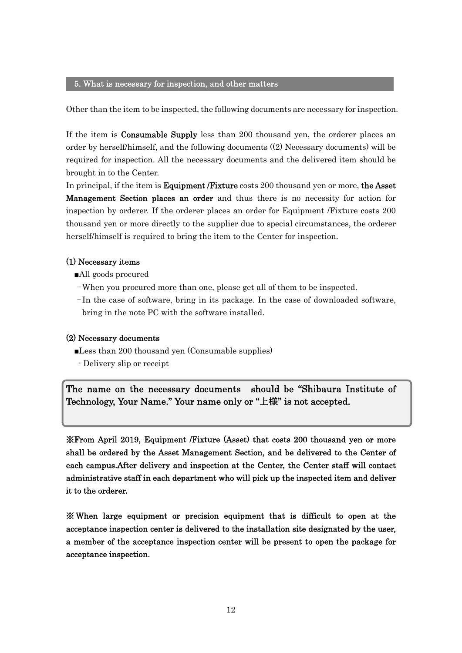#### 5. What is necessary for inspection, and other matters

Other than the item to be inspected, the following documents are necessary for inspection.

If the item is **Consumable Supply** less than 200 thousand yen, the orderer places an order by herself/himself, and the following documents ((2) Necessary documents) will be required for inspection. All the necessary documents and the delivered item should be brought in to the Center.

In principal, if the item is **Equipment /Fixture** costs 200 thousand yen or more, the Asset Management Section places an order and thus there is no necessity for action for inspection by orderer. If the orderer places an order for Equipment /Fixture costs 200 thousand yen or more directly to the supplier due to special circumstances, the orderer herself/himself is required to bring the item to the Center for inspection.

#### (1) Necessary items

- ■All goods procured
- -When you procured more than one, please get all of them to be inspected.
- In the case of software, bring in its package. In the case of downloaded software, bring in the note PC with the software installed.

#### (2) Necessary documents

j

■Less than 200 thousand yen (Consumable supplies)

- Delivery slip or receipt

The name on the necessary documents should be "Shibaura Institute of Technology, Your Name." Your name only or "上様" is not accepted.

※From April 2019, Equipment /Fixture (Asset) that costs 200 thousand yen or more shall be ordered by the Asset Management Section, and be delivered to the Center of each campus.After delivery and inspection at the Center, the Center staff will contact administrative staff in each department who will pick up the inspected item and deliver it to the orderer.

※ When large equipment or precision equipment that is difficult to open at the acceptance inspection center is delivered to the installation site designated by the user, a member of the acceptance inspection center will be present to open the package for acceptance inspection.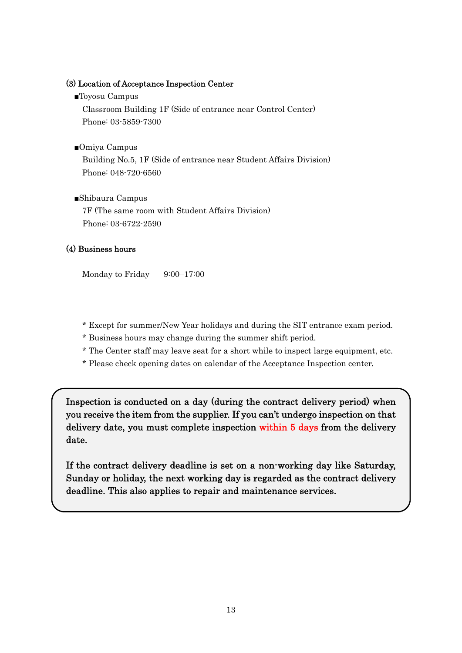#### (3) Location of Acceptance Inspection Center

■Toyosu Campus

Classroom Building 1F (Side of entrance near Control Center) Phone: 03-5859-7300

■Omiya Campus

Building No.5, 1F (Side of entrance near Student Affairs Division) Phone: 048-720-6560

■Shibaura Campus

7F (The same room with Student Affairs Division) Phone: 03-6722-2590

## (4) Business hours

j

Monday to Friday 9:00–17:00

- \* Except for summer/New Year holidays and during the SIT entrance exam period.
- \* Business hours may change during the summer shift period.
- \* The Center staff may leave seat for a short while to inspect large equipment, etc.
- \* Please check opening dates on calendar of the Acceptance Inspection center.

Inspection is conducted on a day (during the contract delivery period) when you receive the item from the supplier. If you can't undergo inspection on that delivery date, you must complete inspection within 5 days from the delivery date.

If the contract delivery deadline is set on a non-working day like Saturday, Sunday or holiday, the next working day is regarded as the contract delivery deadline. This also applies to repair and maintenance services.